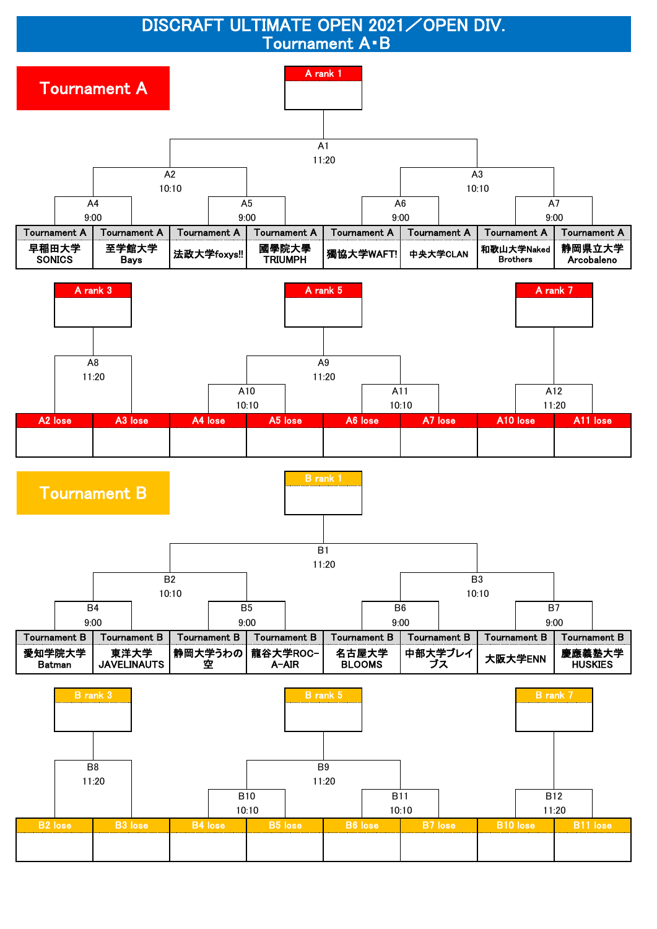DISCRAFT ULTIMATE OPEN 2021 / OPEN DIV. Tournament A・B

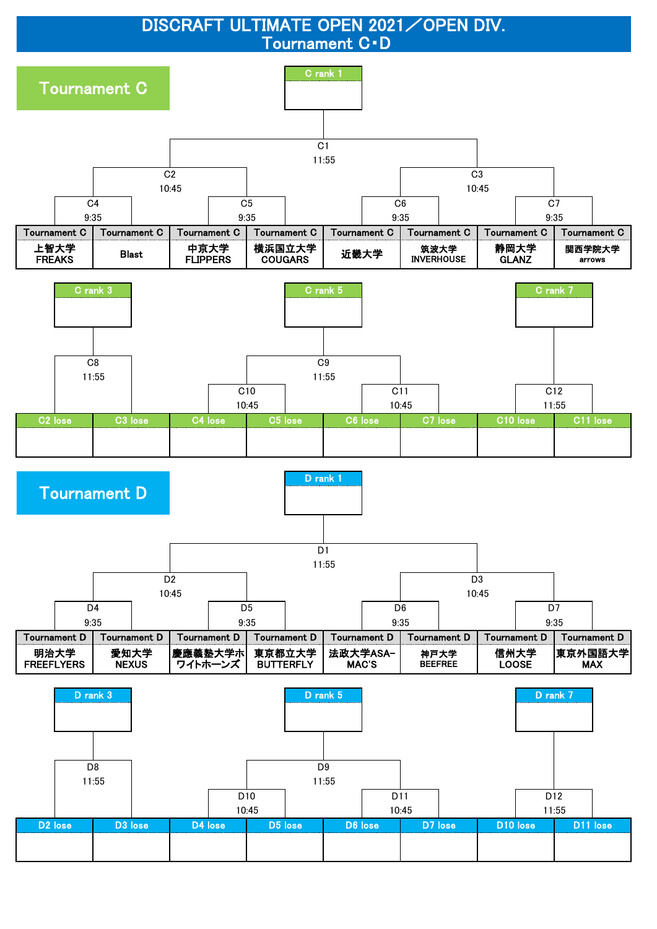DISCRAFT ULTIMATE OPEN 2021 / OPEN DIV. Tournament C・D

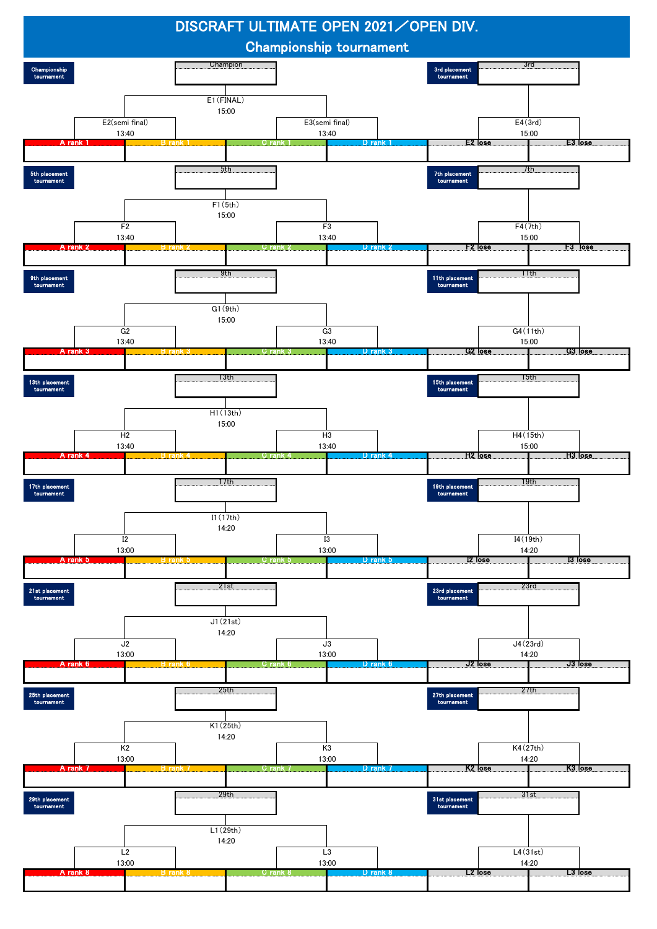